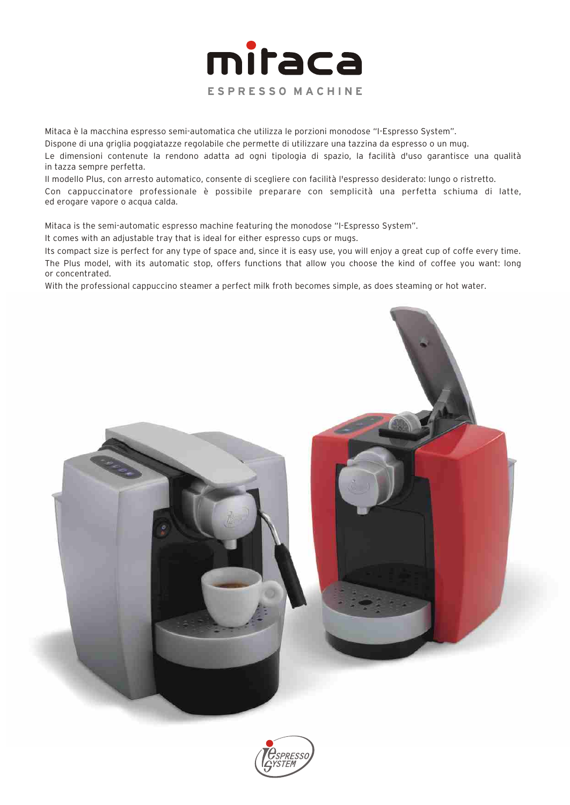

Mitaca è la macchina espresso semi-automatica che utilizza le porzioni monodose "I-Espresso System".

Dispone di una griglia poggiatazze regolabile che permette di utilizzare una tazzina da espresso o un mug.

Le dimensioni contenute la rendono adatta ad ogni tipologia di spazio, la facilità d'uso garantisce una qualità in tazza sempre perfetta.

Il modello Plus, con arresto automatico, consente di scegliere con facilità l'espresso desiderato: lungo o ristretto. Con cappuccinatore professionale è possibile preparare con semplicità una perfetta schiuma di latte, ed erogare vapore o acqua calda.

Mitaca is the semi-automatic espresso machine featuring the monodose "I-Espresso System".

It comes with an adjustable tray that is ideal for either espresso cups or mugs.

Its compact size is perfect for any type of space and, since it is easy use, you will enjoy a great cup of coffe every time. The Plus model, with its automatic stop, offers functions that allow you choose the kind of coffee you want: long or concentrated.

With the professional cappuccino steamer a perfect milk froth becomes simple, as does steaming or hot water.